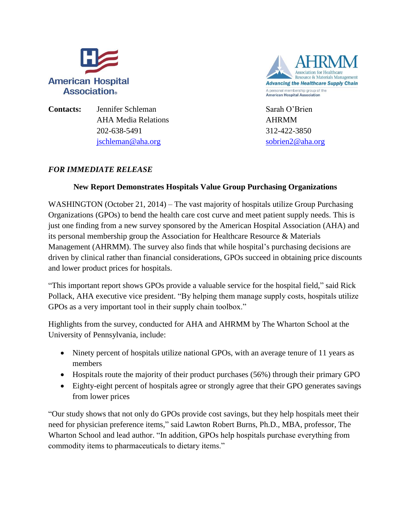



**Contacts:** Jennifer Schleman Sarah O'Brien AHA Media Relations **AHRMM** 202-638-5491 312-422-3850 [jschleman@aha.org](mailto:jschleman@aha.org) [sobrien2@aha.org](mailto:sobrien2@aha.org)

## *FOR IMMEDIATE RELEASE*

## **New Report Demonstrates Hospitals Value Group Purchasing Organizations**

WASHINGTON (October 21, 2014) – The vast majority of hospitals utilize Group Purchasing Organizations (GPOs) to bend the health care cost curve and meet patient supply needs. This is just one finding from a new survey sponsored by the American Hospital Association (AHA) and its personal membership group the Association for Healthcare Resource & Materials Management (AHRMM). The survey also finds that while hospital's purchasing decisions are driven by clinical rather than financial considerations, GPOs succeed in obtaining price discounts and lower product prices for hospitals.

"This important report shows GPOs provide a valuable service for the hospital field," said Rick Pollack, AHA executive vice president. "By helping them manage supply costs, hospitals utilize GPOs as a very important tool in their supply chain toolbox."

Highlights from the survey, conducted for AHA and AHRMM by The Wharton School at the University of Pennsylvania, include:

- Ninety percent of hospitals utilize national GPOs, with an average tenure of 11 years as members
- Hospitals route the majority of their product purchases (56%) through their primary GPO
- Eighty-eight percent of hospitals agree or strongly agree that their GPO generates savings from lower prices

"Our study shows that not only do GPOs provide cost savings, but they help hospitals meet their need for physician preference items," said Lawton Robert Burns, Ph.D., MBA, professor, The Wharton School and lead author. "In addition, GPOs help hospitals purchase everything from commodity items to pharmaceuticals to dietary items."